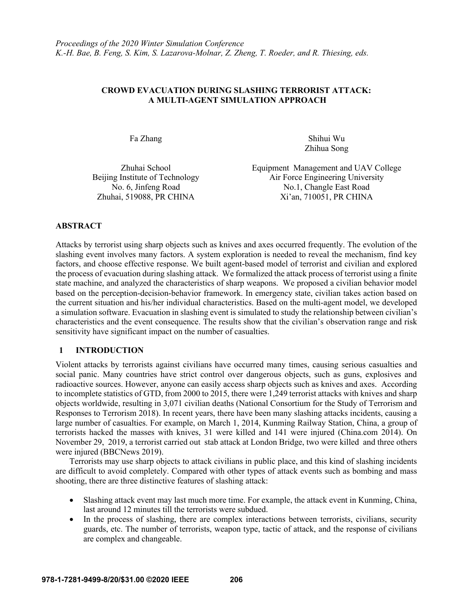# **CROWD EVACUATION DURING SLASHING TERRORIST ATTACK: A MULTI-AGENT SIMULATION APPROACH**

Fa Zhang Shihui Wu Zhihua Song

Zhuhai School Beijing Institute of Technology

Equipment Management and UAV College Air Force Engineering University No. 6, Jinfeng Road No. 1, Changle East Road Zhuhai, 519088, PR CHINA Xi'an, 710051, PR CHINA

# **ABSTRACT**

Attacks by terrorist using sharp objects such as knives and axes occurred frequently. The evolution of the slashing event involves many factors. A system exploration is needed to reveal the mechanism, find key factors, and choose effective response. We built agent-based model of terrorist and civilian and explored the process of evacuation during slashing attack. We formalized the attack process of terrorist using a finite state machine, and analyzed the characteristics of sharp weapons. We proposed a civilian behavior model based on the perception-decision-behavior framework. In emergency state, civilian takes action based on the current situation and his/her individual characteristics. Based on the multi-agent model, we developed a simulation software. Evacuation in slashing event is simulated to study the relationship between civilian's characteristics and the event consequence. The results show that the civilian's observation range and risk sensitivity have significant impact on the number of casualties.

# **1 INTRODUCTION**

Violent attacks by terrorists against civilians have occurred many times, causing serious casualties and social panic. Many countries have strict control over dangerous objects, such as guns, explosives and radioactive sources. However, anyone can easily access sharp objects such as knives and axes. According to incomplete statistics of GTD, from 2000 to 2015, there were 1,249 terrorist attacks with knives and sharp objects worldwide, resulting in 3,071 civilian deaths (National Consortium for the Study of Terrorism and Responses to Terrorism 2018). In recent years, there have been many slashing attacks incidents, causing a large number of casualties. For example, on March 1, 2014, Kunming Railway Station, China, a group of terrorists hacked the masses with knives, 31 were killed and 141 were injured (China.com 2014). On November 29, 2019, a terrorist carried out stab attack at London Bridge, two were killed and three others were injured (BBCNews 2019).

Terrorists may use sharp objects to attack civilians in public place, and this kind of slashing incidents are difficult to avoid completely. Compared with other types of attack events such as bombing and mass shooting, there are three distinctive features of slashing attack:

- Slashing attack event may last much more time. For example, the attack event in Kunming, China, last around 12 minutes till the terrorists were subdued.
- In the process of slashing, there are complex interactions between terrorists, civilians, security guards, etc. The number of terrorists, weapon type, tactic of attack, and the response of civilians are complex and changeable.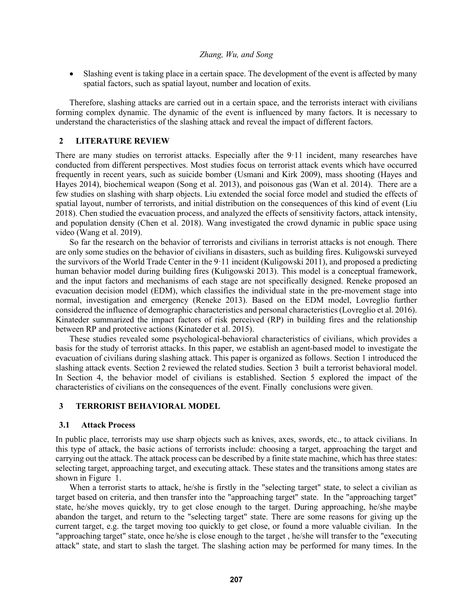• Slashing event is taking place in a certain space. The development of the event is affected by many spatial factors, such as spatial layout, number and location of exits.

Therefore, slashing attacks are carried out in a certain space, and the terrorists interact with civilians forming complex dynamic. The dynamic of the event is influenced by many factors. It is necessary to understand the characteristics of the slashing attack and reveal the impact of different factors.

### **2 LITERATURE REVIEW**

There are many studies on terrorist attacks. Especially after the 9·11 incident, many researches have conducted from different perspectives. Most studies focus on terrorist attack events which have occurred frequently in recent years, such as suicide bomber (Usmani and Kirk 2009), mass shooting (Hayes and Hayes 2014), biochemical weapon (Song et al. 2013), and poisonous gas (Wan et al. 2014). There are a few studies on slashing with sharp objects. Liu extended the social force model and studied the effects of spatial layout, number of terrorists, and initial distribution on the consequences of this kind of event (Liu 2018). Chen studied the evacuation process, and analyzed the effects of sensitivity factors, attack intensity, and population density (Chen et al. 2018). Wang investigated the crowd dynamic in public space using video (Wang et al. 2019).

So far the research on the behavior of terrorists and civilians in terrorist attacks is not enough. There are only some studies on the behavior of civilians in disasters, such as building fires. Kuligowski surveyed the survivors of the World Trade Center in the 9·11 incident (Kuligowski 2011), and proposed a predicting human behavior model during building fires (Kuligowski 2013). This model is a conceptual framework, and the input factors and mechanisms of each stage are not specifically designed. Reneke proposed an evacuation decision model (EDM), which classifies the individual state in the pre-movement stage into normal, investigation and emergency (Reneke 2013). Based on the EDM model, Lovreglio further considered the influence of demographic characteristics and personal characteristics (Lovreglio et al. 2016). Kinateder summarized the impact factors of risk perceived (RP) in building fires and the relationship between RP and protective actions (Kinateder et al. 2015).

These studies revealed some psychological-behavioral characteristics of civilians, which provides a basis for the study of terrorist attacks. In this paper, we establish an agent-based model to investigate the evacuation of civilians during slashing attack. This paper is organized as follows. Section 1 introduced the slashing attack events. Section 2 reviewed the related studies. Section 3 built a terrorist behavioral model. In Section 4, the behavior model of civilians is established. Section 5 explored the impact of the characteristics of civilians on the consequences of the event. Finally conclusions were given.

#### **3 TERRORIST BEHAVIORAL MODEL**

#### **3.1 Attack Process**

In public place, terrorists may use sharp objects such as knives, axes, swords, etc., to attack civilians. In this type of attack, the basic actions of terrorists include: choosing a target, approaching the target and carrying out the attack. The attack process can be described by a finite state machine, which has three states: selecting target, approaching target, and executing attack. These states and the transitions among states are shown in Figure 1.

When a terrorist starts to attack, he/she is firstly in the "selecting target" state, to select a civilian as target based on criteria, and then transfer into the "approaching target" state. In the "approaching target" state, he/she moves quickly, try to get close enough to the target. During approaching, he/she maybe abandon the target, and return to the "selecting target" state. There are some reasons for giving up the current target, e.g. the target moving too quickly to get close, or found a more valuable civilian. In the "approaching target" state, once he/she is close enough to the target , he/she will transfer to the "executing attack" state, and start to slash the target. The slashing action may be performed for many times. In the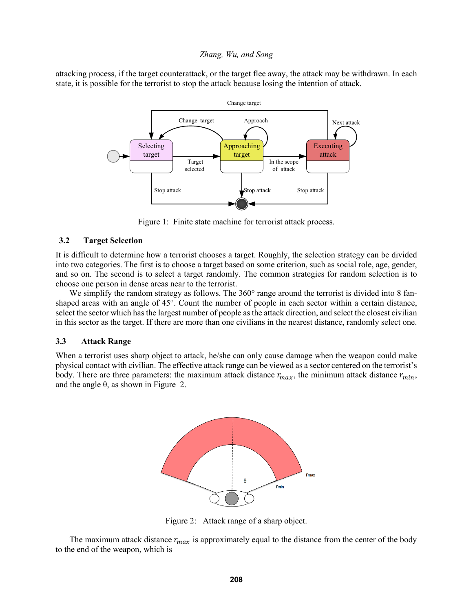attacking process, if the target counterattack, or the target flee away, the attack may be withdrawn. In each state, it is possible for the terrorist to stop the attack because losing the intention of attack.



Figure 1: Finite state machine for terrorist attack process.

### **3.2 Target Selection**

It is difficult to determine how a terrorist chooses a target. Roughly, the selection strategy can be divided into two categories. The first is to choose a target based on some criterion, such as social role, age, gender, and so on. The second is to select a target randomly. The common strategies for random selection is to choose one person in dense areas near to the terrorist.

We simplify the random strategy as follows. The 360° range around the terrorist is divided into 8 fanshaped areas with an angle of 45°. Count the number of people in each sector within a certain distance, select the sector which has the largest number of people as the attack direction, and select the closest civilian in this sector as the target. If there are more than one civilians in the nearest distance, randomly select one.

#### **3.3 Attack Range**

When a terrorist uses sharp object to attack, he/she can only cause damage when the weapon could make physical contact with civilian. The effective attack range can be viewed as a sector centered on the terrorist's body. There are three parameters: the maximum attack distance  $r_{max}$ , the minimum attack distance  $r_{min}$ , and the angle  $\theta$ , as shown in Figure 2.



Figure 2: Attack range of a sharp object.

The maximum attack distance  $r_{max}$  is approximately equal to the distance from the center of the body to the end of the weapon, which is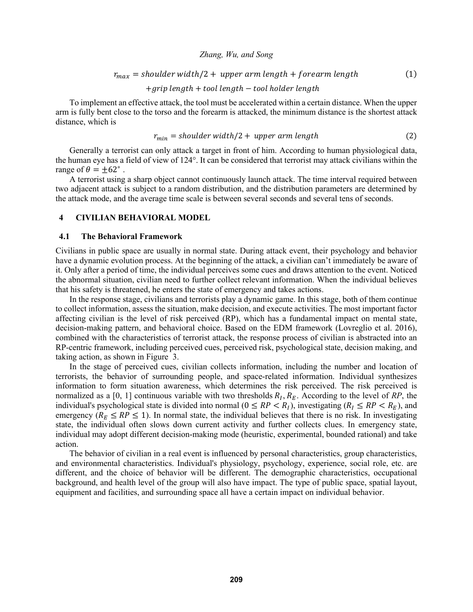$$
r_{max} = shoulder \; width/2 + upper \; arm \; length + for \; earth \; length \qquad (1)
$$

+ ℎ + ℎ − ℎ ℎ

To implement an effective attack, the tool must be accelerated within a certain distance. When the upper arm is fully bent close to the torso and the forearm is attacked, the minimum distance is the shortest attack distance, which is

$$
r_{min} = shoulder \; width/2 + upper \; arm \; length \qquad (2)
$$

Generally a terrorist can only attack a target in front of him. According to human physiological data, the human eye has a field of view of 124°. It can be considered that terrorist may attack civilians within the range of  $\theta = \pm 62^\circ$ .

A terrorist using a sharp object cannot continuously launch attack. The time interval required between two adjacent attack is subject to a random distribution, and the distribution parameters are determined by the attack mode, and the average time scale is between several seconds and several tens of seconds.

### **4 CIVILIAN BEHAVIORAL MODEL**

#### **4.1 The Behavioral Framework**

Civilians in public space are usually in normal state. During attack event, their psychology and behavior have a dynamic evolution process. At the beginning of the attack, a civilian can't immediately be aware of it. Only after a period of time, the individual perceives some cues and draws attention to the event. Noticed the abnormal situation, civilian need to further collect relevant information. When the individual believes that his safety is threatened, he enters the state of emergency and takes actions.

In the response stage, civilians and terrorists play a dynamic game. In this stage, both of them continue to collect information, assess the situation, make decision, and execute activities. The most important factor affecting civilian is the level of risk perceived (RP), which has a fundamental impact on mental state, decision-making pattern, and behavioral choice. Based on the EDM framework (Lovreglio et al. 2016), combined with the characteristics of terrorist attack, the response process of civilian is abstracted into an RP-centric framework, including perceived cues, perceived risk, psychological state, decision making, and taking action, as shown in Figure 3.

In the stage of perceived cues, civilian collects information, including the number and location of terrorists, the behavior of surrounding people, and space-related information. Individual synthesizes information to form situation awareness, which determines the risk perceived. The risk perceived is normalized as a [0, 1] continuous variable with two thresholds  $R_I$ ,  $R_E$ . According to the level of RP, the individual's psychological state is divided into normal ( $0 \leq RP < R_I$ ), investigating ( $R_I \leq RP < R_E$ ), and emergency ( $R_E \leq RP \leq 1$ ). In normal state, the individual believes that there is no risk. In investigating state, the individual often slows down current activity and further collects clues. In emergency state, individual may adopt different decision-making mode (heuristic, experimental, bounded rational) and take action.

The behavior of civilian in a real event is influenced by personal characteristics, group characteristics, and environmental characteristics. Individual's physiology, psychology, experience, social role, etc. are different, and the choice of behavior will be different. The demographic characteristics, occupational background, and health level of the group will also have impact. The type of public space, spatial layout, equipment and facilities, and surrounding space all have a certain impact on individual behavior.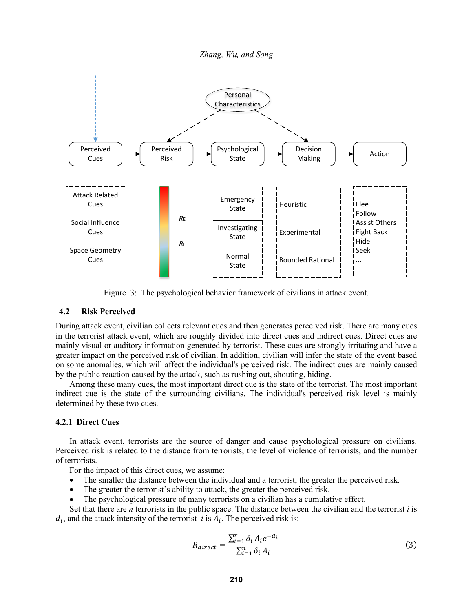*Zhang, Wu, and Song*



Figure 3: The psychological behavior framework of civilians in attack event.

# **4.2 Risk Perceived**

During attack event, civilian collects relevant cues and then generates perceived risk. There are many cues in the terrorist attack event, which are roughly divided into direct cues and indirect cues. Direct cues are mainly visual or auditory information generated by terrorist. These cues are strongly irritating and have a greater impact on the perceived risk of civilian. In addition, civilian will infer the state of the event based on some anomalies, which will affect the individual's perceived risk. The indirect cues are mainly caused by the public reaction caused by the attack, such as rushing out, shouting, hiding.

Among these many cues, the most important direct cue is the state of the terrorist. The most important indirect cue is the state of the surrounding civilians. The individual's perceived risk level is mainly determined by these two cues.

#### **4.2.1 Direct Cues**

In attack event, terrorists are the source of danger and cause psychological pressure on civilians. Perceived risk is related to the distance from terrorists, the level of violence of terrorists, and the number of terrorists.

For the impact of this direct cues, we assume:

- The smaller the distance between the individual and a terrorist, the greater the perceived risk.
- The greater the terrorist's ability to attack, the greater the perceived risk.
- The psychological pressure of many terrorists on a civilian has a cumulative effect.

Set that there are *n* terrorists in the public space. The distance between the civilian and the terrorist *i* is  $d_i$ , and the attack intensity of the terrorist *i* is  $A_i$ . The perceived risk is:

$$
R_{direct} = \frac{\sum_{i=1}^{n} \delta_i A_i e^{-d_i}}{\sum_{i=1}^{n} \delta_i A_i}
$$
(3)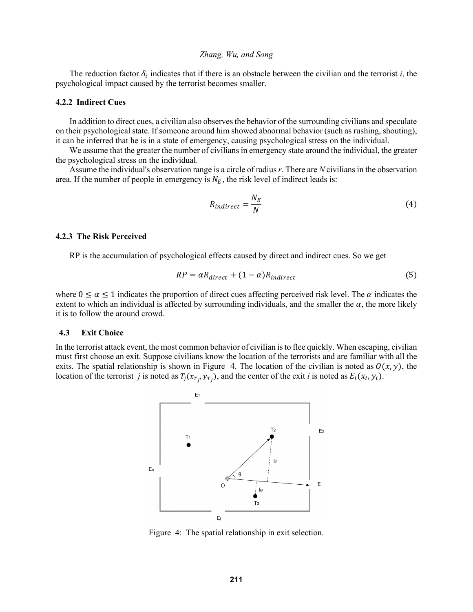The reduction factor  $\delta_i$  indicates that if there is an obstacle between the civilian and the terrorist *i*, the psychological impact caused by the terrorist becomes smaller.

#### **4.2.2 Indirect Cues**

In addition to direct cues, a civilian also observes the behavior of the surrounding civilians and speculate on their psychological state. If someone around him showed abnormal behavior (such as rushing, shouting), it can be inferred that he is in a state of emergency, causing psychological stress on the individual.

We assume that the greater the number of civilians in emergency state around the individual, the greater the psychological stress on the individual.

Assume the individual's observation range is a circle of radius *r*. There are *N* civilians in the observation area. If the number of people in emergency is  $N_E$ , the risk level of indirect leads is:

$$
R_{indirect} = \frac{N_E}{N}
$$
 (4)

#### **4.2.3 The Risk Perceived**

RP is the accumulation of psychological effects caused by direct and indirect cues. So we get

$$
RP = \alpha R_{direct} + (1 - \alpha) R_{indirect}
$$
\n<sup>(5)</sup>

where  $0 \le \alpha \le 1$  indicates the proportion of direct cues affecting perceived risk level. The  $\alpha$  indicates the extent to which an individual is affected by surrounding individuals, and the smaller the  $\alpha$ , the more likely it is to follow the around crowd.

#### **4.3 Exit Choice**

In the terrorist attack event, the most common behavior of civilian is to flee quickly. When escaping, civilian must first choose an exit. Suppose civilians know the location of the terrorists and are familiar with all the exits. The spatial relationship is shown in Figure 4. The location of the civilian is noted as  $O(x, y)$ , the location of the terrorist *j* is noted as  $T_i(x_{T_i}, y_{T_i})$ , and the center of the exit *i* is noted as  $E_i(x_i, y_i)$ .



Figure 4: The spatial relationship in exit selection.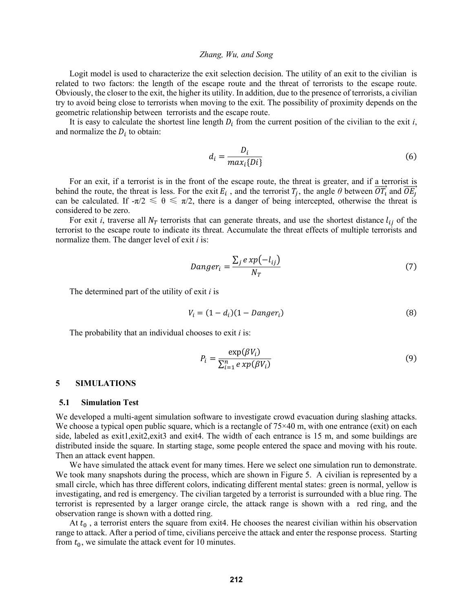Logit model is used to characterize the exit selection decision. The utility of an exit to the civilian is related to two factors: the length of the escape route and the threat of terrorists to the escape route. Obviously, the closer to the exit, the higher its utility. In addition, due to the presence of terrorists, a civilian try to avoid being close to terrorists when moving to the exit. The possibility of proximity depends on the geometric relationship between terrorists and the escape route.

It is easy to calculate the shortest line length  $D_i$  from the current position of the civilian to the exit *i*, and normalize the  $D_i$  to obtain:

$$
d_i = \frac{D_i}{max_i\{Di\}}\tag{6}
$$

For an exit, if a terrorist is in the front of the escape route, the threat is greater, and if a terrorist is behind the route, the threat is less. For the exit  $E_i$ , and the terrorist  $T_i$ , the angle  $\theta$  between  $\overrightarrow{OT_i}$  and  $\overrightarrow{OE_i}$ can be calculated. If  $-\pi/2 \le \theta \le \pi/2$ , there is a danger of being intercepted, otherwise the threat is considered to be zero.

For exit *i*, traverse all  $N_T$  terrorists that can generate threats, and use the shortest distance  $l_{ij}$  of the terrorist to the escape route to indicate its threat. Accumulate the threat effects of multiple terrorists and normalize them. The danger level of exit *i* is:

$$
Danger_i = \frac{\sum_j e x p(-l_{ij})}{N_T}
$$
\n<sup>(7)</sup>

The determined part of the utility of exit *i* is

$$
V_i = (1 - d_i)(1 - Danger_i) \tag{8}
$$

The probability that an individual chooses to exit *i* is:

$$
P_i = \frac{\exp(\beta V_i)}{\sum_{i=1}^n e x p(\beta V_i)}
$$
(9)

#### **5 SIMULATIONS**

#### **5.1 Simulation Test**

We developed a multi-agent simulation software to investigate crowd evacuation during slashing attacks. We choose a typical open public square, which is a rectangle of  $75\times40$  m, with one entrance (exit) on each side, labeled as exit1,exit2,exit3 and exit4. The width of each entrance is 15 m, and some buildings are distributed inside the square. In starting stage, some people entered the space and moving with his route. Then an attack event happen.

We have simulated the attack event for many times. Here we select one simulation run to demonstrate. We took many snapshots during the process, which are shown in Figure 5. A civilian is represented by a small circle, which has three different colors, indicating different mental states: green is normal, yellow is investigating, and red is emergency. The civilian targeted by a terrorist is surrounded with a blue ring. The terrorist is represented by a larger orange circle, the attack range is shown with a red ring, and the observation range is shown with a dotted ring.

At  $t_0$ , a terrorist enters the square from exit4. He chooses the nearest civilian within his observation range to attack. After a period of time, civilians perceive the attack and enter the response process. Starting from  $t_0$ , we simulate the attack event for 10 minutes.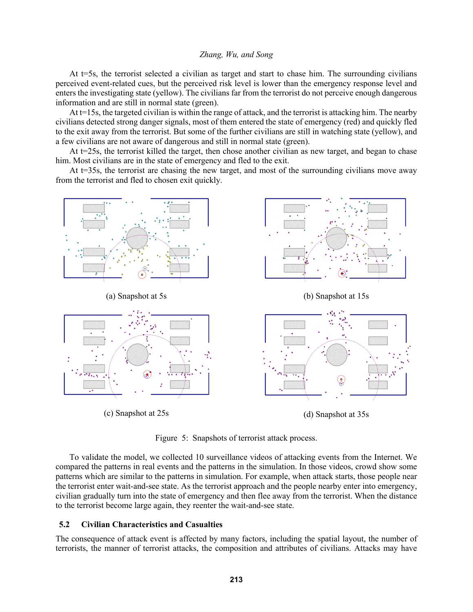At t=5s, the terrorist selected a civilian as target and start to chase him. The surrounding civilians perceived event-related cues, but the perceived risk level is lower than the emergency response level and enters the investigating state (yellow). The civilians far from the terrorist do not perceive enough dangerous information and are still in normal state (green).

At t=15s, the targeted civilian is within the range of attack, and the terrorist is attacking him. The nearby civilians detected strong danger signals, most of them entered the state of emergency (red) and quickly fled to the exit away from the terrorist. But some of the further civilians are still in watching state (yellow), and a few civilians are not aware of dangerous and still in normal state (green).

At t=25s, the terrorist killed the target, then chose another civilian as new target, and began to chase him. Most civilians are in the state of emergency and fled to the exit.

At  $t=35s$ , the terrorist are chasing the new target, and most of the surrounding civilians move away from the terrorist and fled to chosen exit quickly.



Figure 5: Snapshots of terrorist attack process.

To validate the model, we collected 10 surveillance videos of attacking events from the Internet. We compared the patterns in real events and the patterns in the simulation. In those videos, crowd show some patterns which are similar to the patterns in simulation. For example, when attack starts, those people near the terrorist enter wait-and-see state. As the terrorist approach and the people nearby enter into emergency, civilian gradually turn into the state of emergency and then flee away from the terrorist. When the distance to the terrorist become large again, they reenter the wait-and-see state.

### **5.2 Civilian Characteristics and Casualties**

The consequence of attack event is affected by many factors, including the spatial layout, the number of terrorists, the manner of terrorist attacks, the composition and attributes of civilians. Attacks may have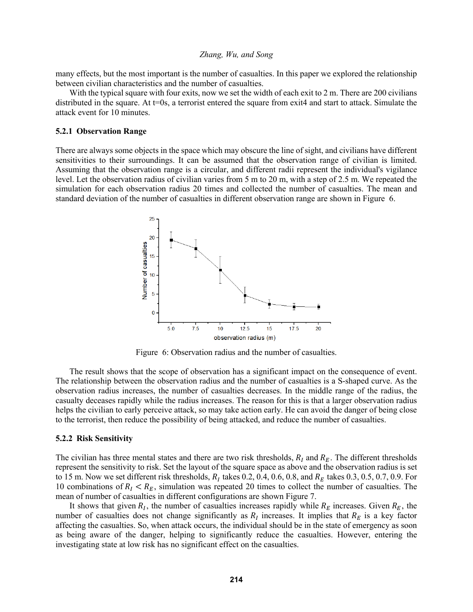many effects, but the most important is the number of casualties. In this paper we explored the relationship between civilian characteristics and the number of casualties.

With the typical square with four exits, now we set the width of each exit to 2 m. There are 200 civilians distributed in the square. At t=0s, a terrorist entered the square from exit4 and start to attack. Simulate the attack event for 10 minutes.

#### **5.2.1 Observation Range**

There are always some objects in the space which may obscure the line of sight, and civilians have different sensitivities to their surroundings. It can be assumed that the observation range of civilian is limited. Assuming that the observation range is a circular, and different radii represent the individual's vigilance level. Let the observation radius of civilian varies from 5 m to 20 m, with a step of 2.5 m. We repeated the simulation for each observation radius 20 times and collected the number of casualties. The mean and standard deviation of the number of casualties in different observation range are shown in Figure 6.



Figure 6: Observation radius and the number of casualties.

The result shows that the scope of observation has a significant impact on the consequence of event. The relationship between the observation radius and the number of casualties is a S-shaped curve. As the observation radius increases, the number of casualties decreases. In the middle range of the radius, the casualty deceases rapidly while the radius increases. The reason for this is that a larger observation radius helps the civilian to early perceive attack, so may take action early. He can avoid the danger of being close to the terrorist, then reduce the possibility of being attacked, and reduce the number of casualties.

#### **5.2.2 Risk Sensitivity**

The civilian has three mental states and there are two risk thresholds,  $R_l$  and  $R_E$ . The different thresholds represent the sensitivity to risk. Set the layout of the square space as above and the observation radius is set to 15 m. Now we set different risk thresholds,  $R_I$  takes 0.2, 0.4, 0.6, 0.8, and  $R_E$  takes 0.3, 0.5, 0.7, 0.9. For 10 combinations of  $R_I < R_E$ , simulation was repeated 20 times to collect the number of casualties. The mean of number of casualties in different configurations are shown Figure 7.

It shows that given  $R_I$ , the number of casualties increases rapidly while  $R_E$  increases. Given  $R_E$ , the number of casualties does not change significantly as  $R_I$  increases. It implies that  $R_E$  is a key factor affecting the casualties. So, when attack occurs, the individual should be in the state of emergency as soon as being aware of the danger, helping to significantly reduce the casualties. However, entering the investigating state at low risk has no significant effect on the casualties.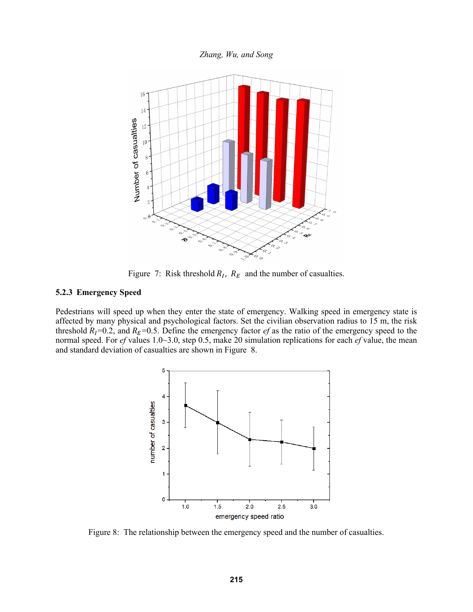

Figure 7: Risk threshold  $R_I$ ,  $R_E$  and the number of casualties.

#### **5.2.3 Emergency Speed**

Pedestrians will speed up when they enter the state of emergency. Walking speed in emergency state is affected by many physical and psychological factors. Set the civilian observation radius to 15 m, the risk threshold  $R_I$ =0.2, and  $R_E$ =0.5. Define the emergency factor *ef* as the ratio of the emergency speed to the normal speed. For *ef* values 1.0~3.0, step 0.5, make 20 simulation replications for each *ef* value, the mean and standard deviation of casualties are shown in Figure 8.



Figure 8: The relationship between the emergency speed and the number of casualties.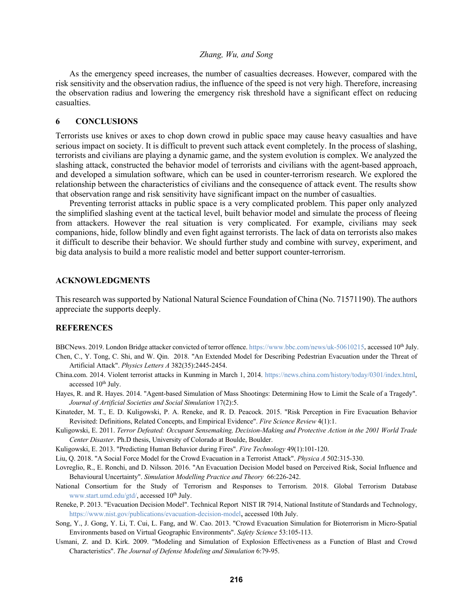As the emergency speed increases, the number of casualties decreases. However, compared with the risk sensitivity and the observation radius, the influence of the speed is not very high. Therefore, increasing the observation radius and lowering the emergency risk threshold have a significant effect on reducing casualties.

#### **6 CONCLUSIONS**

Terrorists use knives or axes to chop down crowd in public space may cause heavy casualties and have serious impact on society. It is difficult to prevent such attack event completely. In the process of slashing, terrorists and civilians are playing a dynamic game, and the system evolution is complex. We analyzed the slashing attack, constructed the behavior model of terrorists and civilians with the agent-based approach, and developed a simulation software, which can be used in counter-terrorism research. We explored the relationship between the characteristics of civilians and the consequence of attack event. The results show that observation range and risk sensitivity have significant impact on the number of casualties.

Preventing terrorist attacks in public space is a very complicated problem. This paper only analyzed the simplified slashing event at the tactical level, built behavior model and simulate the process of fleeing from attackers. However the real situation is very complicated. For example, civilians may seek companions, hide, follow blindly and even fight against terrorists. The lack of data on terrorists also makes it difficult to describe their behavior. We should further study and combine with survey, experiment, and big data analysis to build a more realistic model and better support counter-terrorism.

## **ACKNOWLEDGMENTS**

This research was supported by National Natural Science Foundation of China (No. 71571190). The authors appreciate the supports deeply.

#### **REFERENCES**

BBCNews. 2019. London Bridge attacker convicted of terror offence. https://www.bbc.com/news/uk-50610215, accessed 10<sup>th</sup> July. Chen, C., Y. Tong, C. Shi, and W. Qin. 2018. "An Extended Model for Describing Pedestrian Evacuation under the Threat of

Artificial Attack". *Physics Letters A* 382(35):2445-2454.

- China.com. 2014. Violent terrorist attacks in Kunming in March 1, 2014. https://news.china.com/history/today/0301/index.html, accessed 10<sup>th</sup> July.
- Hayes, R. and R. Hayes. 2014. "Agent-based Simulation of Mass Shootings: Determining How to Limit the Scale of a Tragedy". *Journal of Artificial Societies and Social Simulation* 17(2):5.
- Kinateder, M. T., E. D. Kuligowski, P. A. Reneke, and R. D. Peacock. 2015. "Risk Perception in Fire Evacuation Behavior Revisited: Definitions, Related Concepts, and Empirical Evidence". *Fire Science Review* 4(1):1.
- Kuligowski, E. 2011. *Terror Defeated: Occupant Sensemaking, Decision-Making and Protective Action in the 2001 World Trade Center Disaster*. Ph.D thesis, University of Colorado at Boulde, Boulder.
- Kuligowski, E. 2013. "Predicting Human Behavior during Fires". *Fire Technology* 49(1):101-120.
- Liu, Q. 2018. "A Social Force Model for the Crowd Evacuation in a Terrorist Attack". *Physica A* 502:315-330.
- Lovreglio, R., E. Ronchi, and D. Nilsson. 2016. "An Evacuation Decision Model based on Perceived Risk, Social Influence and Behavioural Uncertainty". *Simulation Modelling Practice and Theory* 66:226-242.
- National Consortium for the Study of Terrorism and Responses to Terrorism. 2018. Global Terrorism Database www.start.umd.edu/gtd/, accessed 10<sup>th</sup> July.
- Reneke, P. 2013. "Evacuation Decision Model". Technical Report NIST IR 7914, National Institute of Standards and Technology, https://www.nist.gov/publications/evacuation-decision-model, accessed 10th July.
- Song, Y., J. Gong, Y. Li, T. Cui, L. Fang, and W. Cao. 2013. "Crowd Evacuation Simulation for Bioterrorism in Micro-Spatial Environments based on Virtual Geographic Environments". *Safety Science* 53:105-113.
- Usmani, Z. and D. Kirk. 2009. "Modeling and Simulation of Explosion Effectiveness as a Function of Blast and Crowd Characteristics". *The Journal of Defense Modeling and Simulation* 6:79-95.